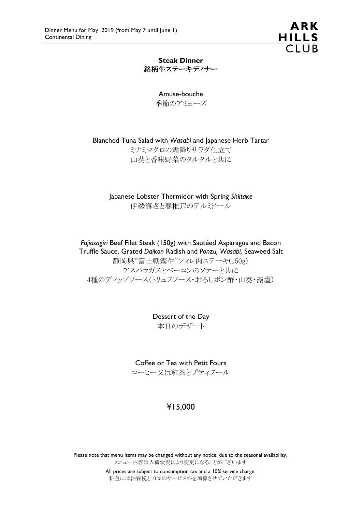

Steak Dinner 銘柄牛ステーキディナー

> Amuse-bouche 季節のアミューズ

Blanched Tuna Salad with *Wasabi* and Japanese Herb Tartar

ミナミマグロの霜降りサラダ仕立て 山葵と香味野菜のタルタルと共に

Japanese Lobster Thermidor with Spring *Shiitake* 伊勢海老と春椎茸のテルミドール

*Fujiasagiri* Beef Filet Steak (150g) with Sautéed Asparagus and Bacon Truffle Sauce, Grated *Daikon* Radish and *Ponzu, Wasabi,* Seaweed Salt 静岡県"富士朝霧牛"フィレ肉ステーキ(150g) アスパラガスとベーコンのソテーと共に 4種のディップソース(トリュフソース・おろしポン酢・山葵・藻塩)

> Dessert of the Day 本日のデザート

Coffee or Tea with Petit Fours コーヒー又は紅茶とプティフール

# ¥15,000

Please note that menu items may be changed without any notice, due to the seasonal availability. メニュー内容は入荷状況により変更になることがございます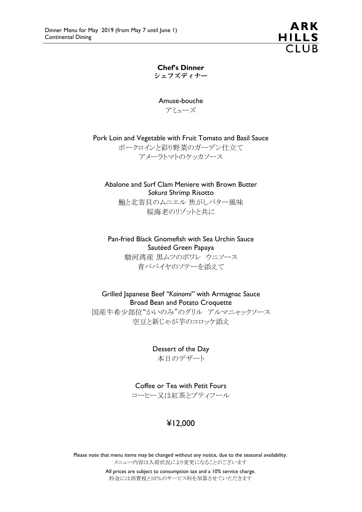ARK **HILLS**  $\overline{C1UB}$ 

Chef's Dinner シェフズディナー

Amuse-bouche アミューズ

Pork Loin and Vegetable with Fruit Tomato and Basil Sauce

ポークロインと彩り野菜のガーデン仕立て アメーラトマトのケッカソース

Abalone and Surf Clam Meniere with Brown Butter *Sakura* Shrimp Risotto

鮑と北寄貝のムニエル 焦がしバター風味 桜海老のリゾットと共に

Pan-fried Black Gnomefish with Sea Urchin Sauce Sautéed Green Papaya 駿河湾産 黒ムツのポワレ ウニソース

青パパイヤのソテーを添えて

Grilled Japanese Beef *"Kainomi"* with Armagnac Sauce Broad Bean and Potato Croquette

国産牛希少部位"かいのみ"のグリル アルマニャックソース 空豆と新じゃが芋のコロッケ添え

> Dessert of the Day 本日のデザート

Coffee or Tea with Petit Fours コーヒー又は紅茶とプティフール

# ¥12,000

Please note that menu items may be changed without any notice, due to the seasonal availability. メニュー内容は入荷状況により変更になることがございます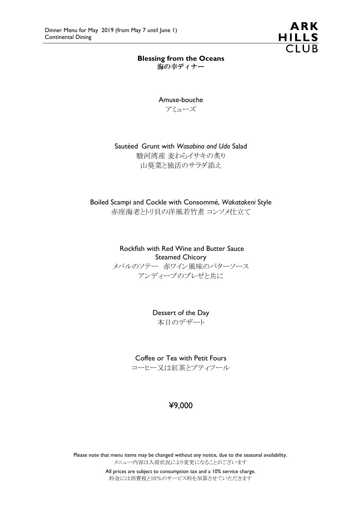

## Blessing from the Oceans

海の幸ディナー

Amuse-bouche

アミューズ

## Sautéed Grunt with *Wasabina and Udo* Salad

駿河湾産 麦わらイサキの炙り 山葵菜と独活のサラダ添え

Boiled Scampi and Cockle with Consommé, *Wakatakeni* Style 赤座海老とトリ貝の洋風若竹煮 コンソメ仕立て

> Rockfish with Red Wine and Butter Sauce Steamed Chicory メバルのソテー 赤ワイン風味のバターソース アンディーブのブレゼと共に

> > Dessert of the Day 本日のデザート

Coffee or Tea with Petit Fours

コーヒー又は紅茶とプティフール

# ¥9,000

Please note that menu items may be changed without any notice, due to the seasonal availability. メニュー内容は入荷状況により変更になることがございます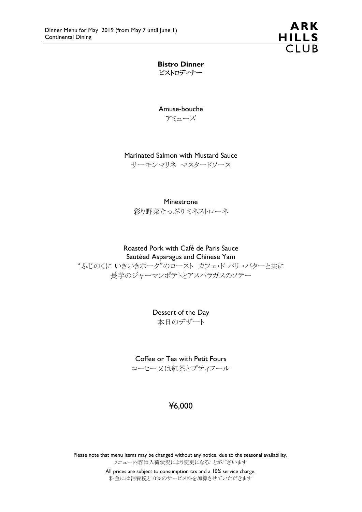

Bistro Dinner ビストロディナー

Amuse-bouche アミューズ

#### Marinated Salmon with Mustard Sauce

サーモンマリネ マスタードソース

#### Minestrone

彩り野菜たっぷりミネストローネ

# Roasted Pork with Café de Paris Sauce

## Sautéed Asparagus and Chinese Yam

"ふじのくに いきいきポーク"のロースト カフェ・ド パリ ・バターと共に 長芋のジャーマンポテトとアスパラガスのソテー

> Dessert of the Day 本日のデザート

Coffee or Tea with Petit Fours コーヒー又は紅茶とプティフール

# ¥6,000

Please note that menu items may be changed without any notice, due to the seasonal availability. メニュー内容は入荷状況により変更になることがございます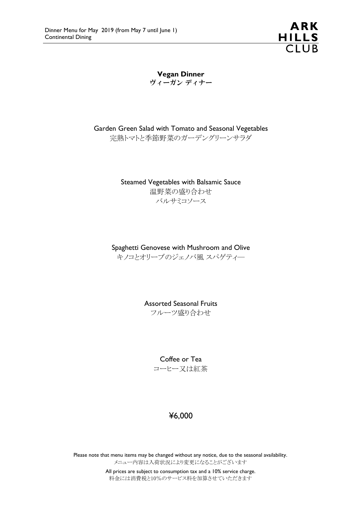

Vegan Dinner ヴィーガン ディナー

Garden Green Salad with Tomato and Seasonal Vegetables 完熟トマトと季節野菜のガーデングリーンサラダ

> Steamed Vegetables with Balsamic Sauce 温野菜の盛り合わせ バルサミコソース

Spaghetti Genovese with Mushroom and Olive キノコとオリーブのジェノバ風 スパゲティ―

> Assorted Seasonal Fruits フルーツ盛り合わせ

> > Coffee or Tea コーヒー又は紅茶

# ¥6,000

Please note that menu items may be changed without any notice, due to the seasonal availability. メニュー内容は入荷状況により変更になることがございます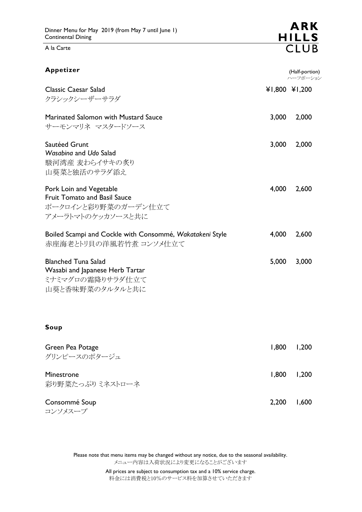A la Carte

| Appetizer                                                                                                  |       | (Half-portion)<br>ハーフポーション |
|------------------------------------------------------------------------------------------------------------|-------|----------------------------|
| <b>Classic Caesar Salad</b><br>クラシックシーザーサラダ                                                                |       | ¥1,800 ¥1,200              |
| <b>Marinated Salomon with Mustard Sauce</b><br>サーモンマリネ マスタードソース                                            | 3,000 | 2,000                      |
| Sautéed Grunt<br>Wasabina and Udo Salad<br>駿河湾産 麦わらイサキの炙り<br>山葵菜と独活のサラダ添え                                  | 3,000 | 2,000                      |
| Pork Loin and Vegetable<br><b>Fruit Tomato and Basil Sauce</b><br>ポークロインと彩り野菜のガーデン仕立て<br>アメーラトマトのケッカソースと共に | 4,000 | 2,600                      |
| Boiled Scampi and Cockle with Consommé, Wakatakeni Style<br>赤座海老とトリ貝の洋風若竹煮 コンソメ仕立て                         | 4,000 | 2,600                      |
| <b>Blanched Tuna Salad</b><br>Wasabi and Japanese Herb Tartar<br>ミナミマグロの霜降りサラダ仕立て<br>山葵と香味野菜のタルタルと共に       | 5,000 | 3,000                      |
| Soup                                                                                                       |       |                            |
| Green Pea Potage<br>グリンピースのポタージュ                                                                           | 1,800 | 1,200                      |
| Minestrone<br>彩り野菜たっぷり ミネストローネ                                                                             | 1,800 | 1,200                      |
| Consommé Soup<br>コンソメスープ                                                                                   | 2,200 | 1,600                      |

Please note that menu items may be changed without any notice, due to the seasonal availability. メニュー内容は入荷状況により変更になることがございます